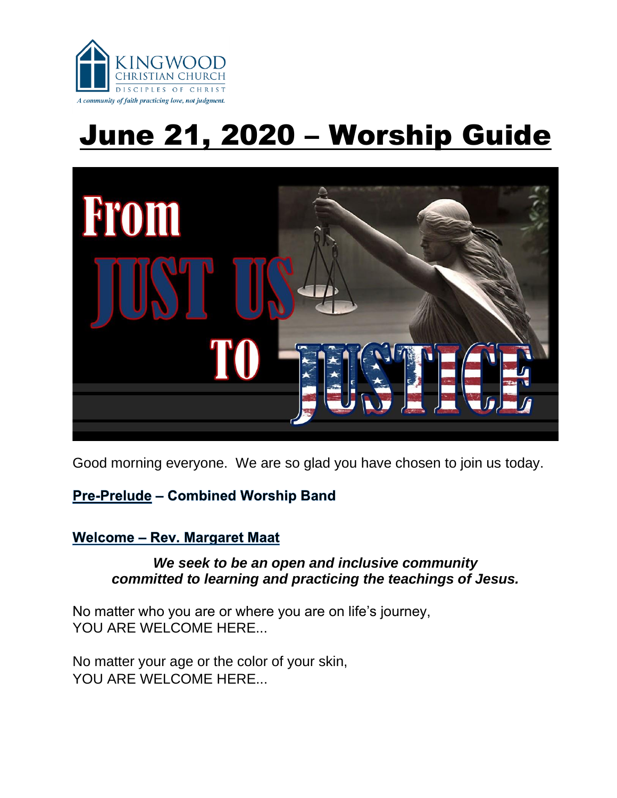

# June 21, 2020 – Worship Guide



Good morning everyone. We are so glad you have chosen to join us today.

**Pre-Prelude - Combined Worship Band** 

# **Welcome - Rev. Margaret Maat**

*We seek to be an open and inclusive community committed to learning and practicing the teachings of Jesus.*

No matter who you are or where you are on life's journey, YOU ARE WELCOME HERE...

No matter your age or the color of your skin, YOU ARE WELCOME HERE...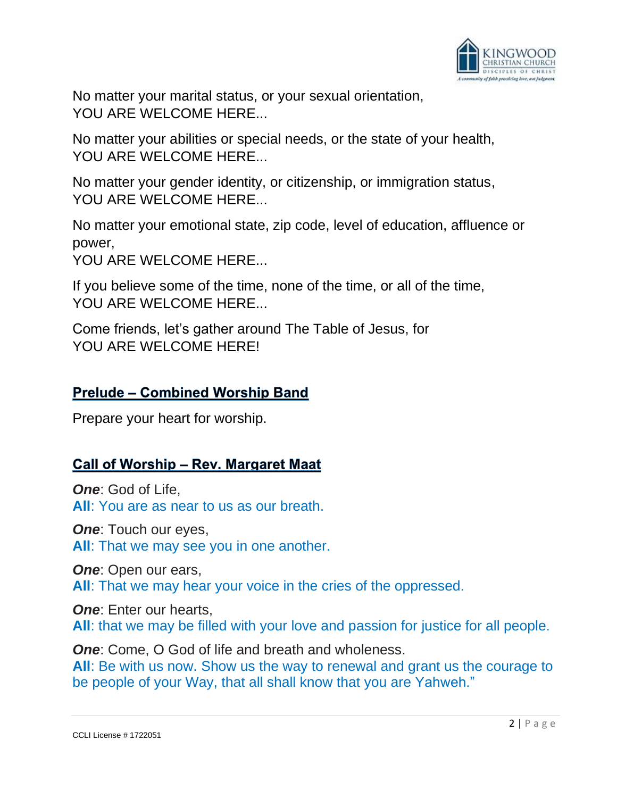

No matter your marital status, or your sexual orientation, YOU ARE WELCOME HERE...

No matter your abilities or special needs, or the state of your health, YOU ARE WELCOME HERE...

No matter your gender identity, or citizenship, or immigration status, YOU ARE WELCOME HERE...

No matter your emotional state, zip code, level of education, affluence or power,

YOU ARE WELCOME HERE...

If you believe some of the time, none of the time, or all of the time, YOU ARE WELCOME HERE...

Come friends, let's gather around The Table of Jesus, for YOU ARE WELCOME HERE!

#### **Prelude - Combined Worship Band**

Prepare your heart for worship.

#### **Call of Worship - Rev. Margaret Maat**

*One*: God of Life, **All**: You are as near to us as our breath.

**One:** Touch our eyes, **All**: That we may see you in one another.

*One*: Open our ears, **All**: That we may hear your voice in the cries of the oppressed.

**One:** Enter our hearts, **All**: that we may be filled with your love and passion for justice for all people.

**One:** Come, O God of life and breath and wholeness. **All**: Be with us now. Show us the way to renewal and grant us the courage to be people of your Way, that all shall know that you are Yahweh."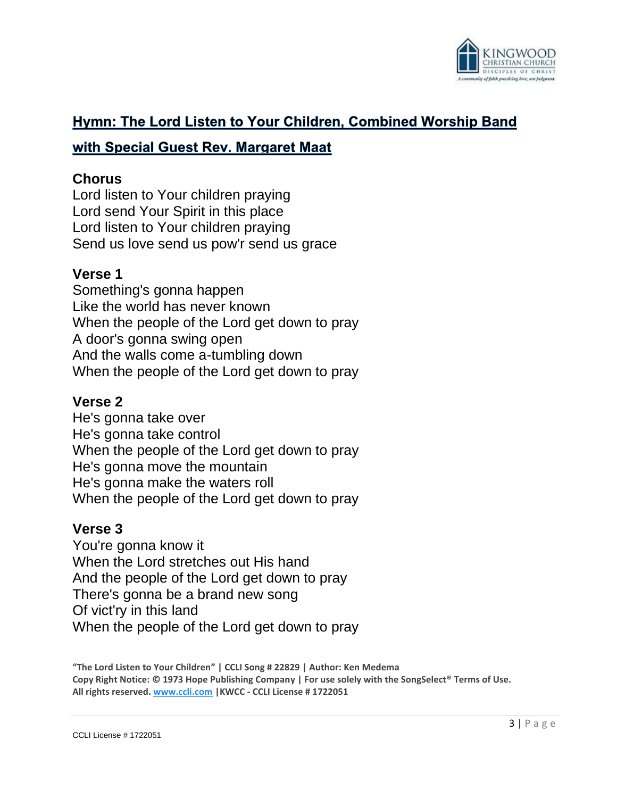

# Hymn: The Lord Listen to Your Children, Combined Worship Band

#### with Special Guest Rev. Margaret Maat

#### **Chorus**

Lord listen to Your children praying Lord send Your Spirit in this place Lord listen to Your children praying Send us love send us pow'r send us grace

#### **Verse 1**

Something's gonna happen Like the world has never known When the people of the Lord get down to pray A door's gonna swing open And the walls come a-tumbling down When the people of the Lord get down to pray

#### **Verse 2**

He's gonna take over He's gonna take control When the people of the Lord get down to pray He's gonna move the mountain He's gonna make the waters roll When the people of the Lord get down to pray

#### **Verse 3**

You're gonna know it When the Lord stretches out His hand And the people of the Lord get down to pray There's gonna be a brand new song Of vict'ry in this land When the people of the Lord get down to pray

**"The Lord Listen to Your Children" | CCLI Song # 22829 | Author: Ken Medema Copy Right Notice: © 1973 Hope Publishing Company | For use solely with the SongSelect® Terms of Use. All rights reserved. [www.ccli.com](http://www.ccli.com/) |KWCC - CCLI License # 1722051**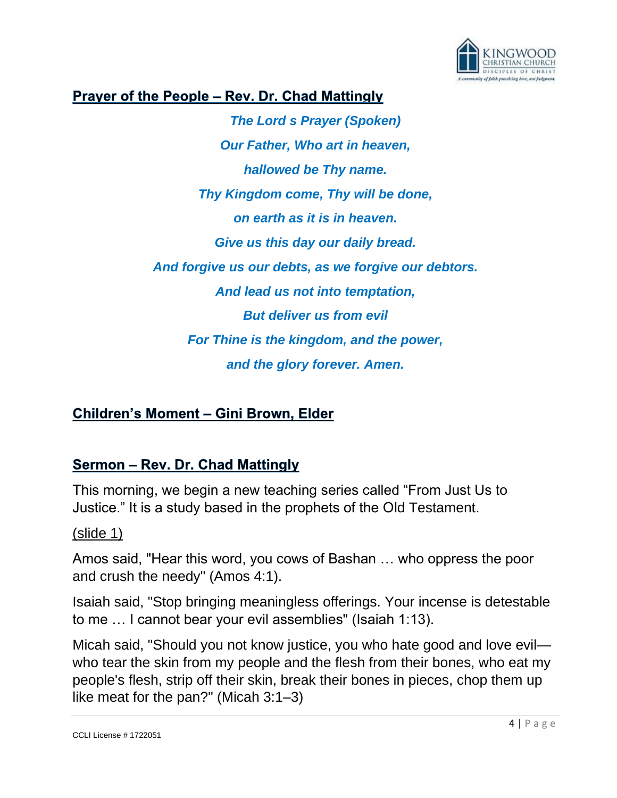

# Prayer of the People - Rev. Dr. Chad Mattingly

*The Lord s Prayer (Spoken) Our Father, Who art in heaven, hallowed be Thy name. Thy Kingdom come, Thy will be done, on earth as it is in heaven. Give us this day our daily bread. And forgive us our debts, as we forgive our debtors. And lead us not into temptation, But deliver us from evil For Thine is the kingdom, and the power, and the glory forever. Amen.*

# Children's Moment - Gini Brown, Elder

# Sermon – Rev. Dr. Chad Mattingly

This morning, we begin a new teaching series called "From Just Us to Justice." It is a study based in the prophets of the Old Testament.

#### (slide 1)

Amos said, "Hear this word, you cows of Bashan … who oppress the poor and crush the needy" (Amos 4:1).

Isaiah said, "Stop bringing meaningless offerings. Your incense is detestable to me … I cannot bear your evil assemblies" (Isaiah 1:13).

Micah said, "Should you not know justice, you who hate good and love evil who tear the skin from my people and the flesh from their bones, who eat my people's flesh, strip off their skin, break their bones in pieces, chop them up like meat for the pan?" (Micah 3:1–3)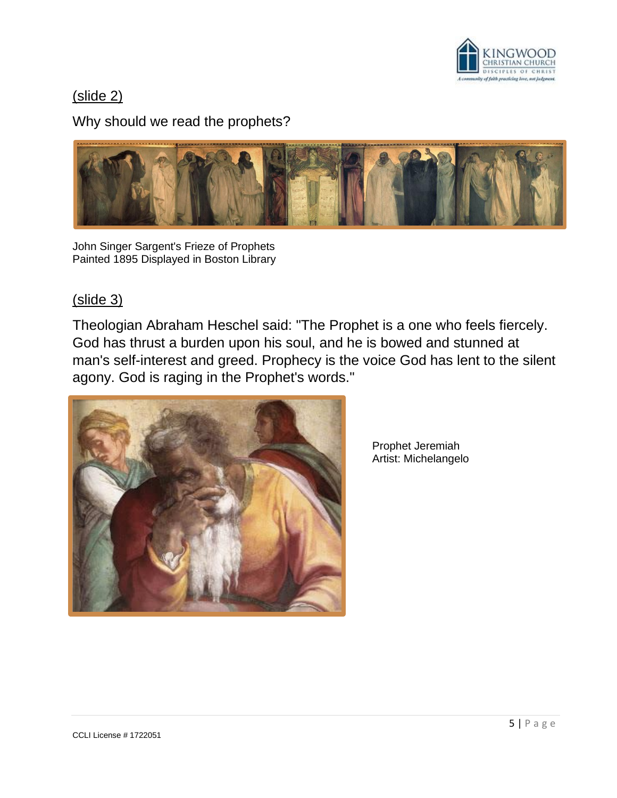

#### (slide 2)

Why should we read the prophets?



John Singer Sargent's Frieze of Prophets Painted 1895 Displayed in Boston Library

#### (slide 3)

Theologian Abraham Heschel said: "The Prophet is a one who feels fiercely. God has thrust a burden upon his soul, and he is bowed and stunned at man's self-interest and greed. Prophecy is the voice God has lent to the silent agony. God is raging in the Prophet's words."



Prophet Jeremiah Artist: Michelangelo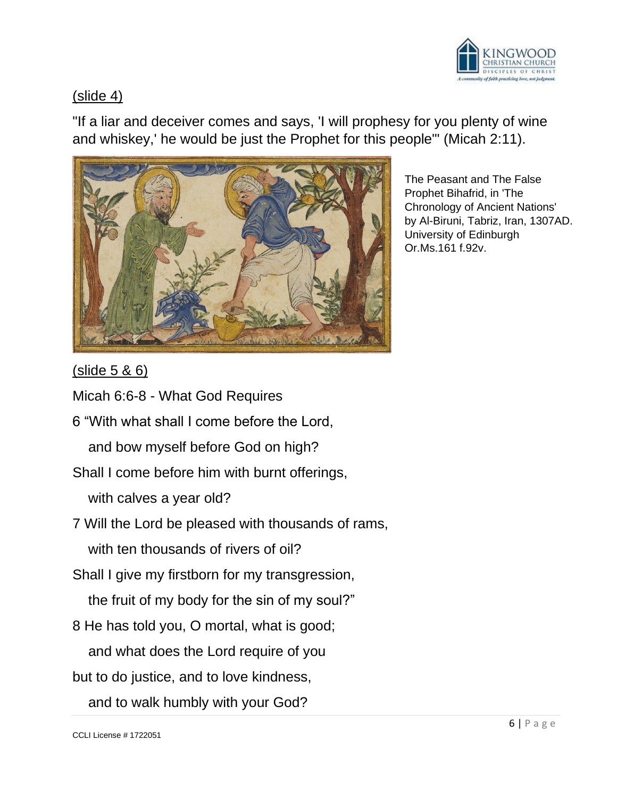

### (slide 4)

"If a liar and deceiver comes and says, 'I will prophesy for you plenty of wine and whiskey,' he would be just the Prophet for this people'" (Micah 2:11).



The Peasant and The False Prophet Bihafrid, in 'The Chronology of Ancient Nations' by Al-Biruni, Tabriz, Iran, 1307AD. University of Edinburgh Or.Ms.161 f.92v.

# (slide 5 & 6)

Micah 6:6-8 - What God Requires

6 "With what shall I come before the Lord,

and bow myself before God on high?

Shall I come before him with burnt offerings,

with calves a year old?

7 Will the Lord be pleased with thousands of rams,

with ten thousands of rivers of oil?

Shall I give my firstborn for my transgression,

the fruit of my body for the sin of my soul?"

8 He has told you, O mortal, what is good;

and what does the Lord require of you

but to do justice, and to love kindness,

and to walk humbly with your God?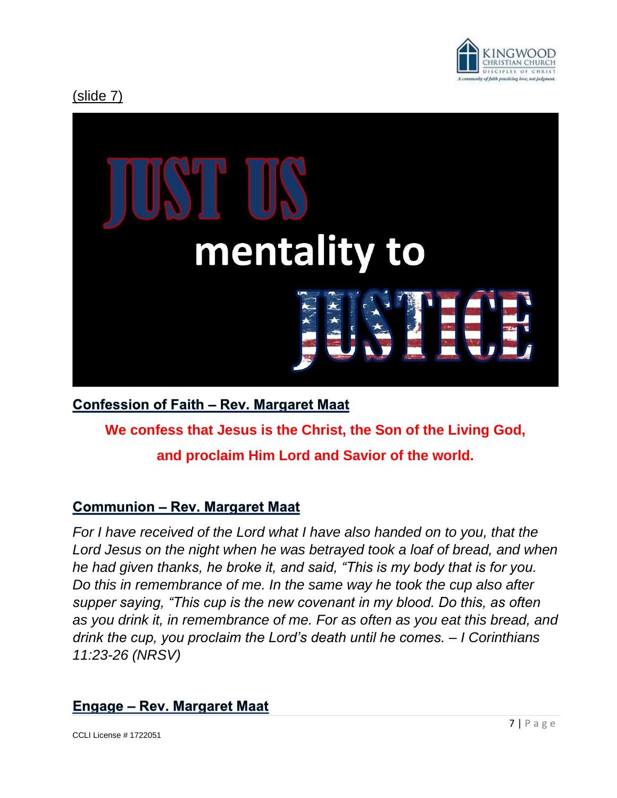

(slide 7)



**Confession of Faith - Rev. Margaret Maat** 

# **We confess that Jesus is the Christ, the Son of the Living God, and proclaim Him Lord and Savior of the world.**

#### **Communion - Rev. Margaret Maat**

*For I have received of the Lord what I have also handed on to you, that the Lord Jesus on the night when he was betrayed took a loaf of bread, and when he had given thanks, he broke it, and said, "This is my body that is for you. Do this in remembrance of me. In the same way he took the cup also after supper saying, "This cup is the new covenant in my blood. Do this, as often as you drink it, in remembrance of me. For as often as you eat this bread, and drink the cup, you proclaim the Lord's death until he comes. – I Corinthians 11:23-26 (NRSV)*

#### **Engage – Rev. Margaret Maat**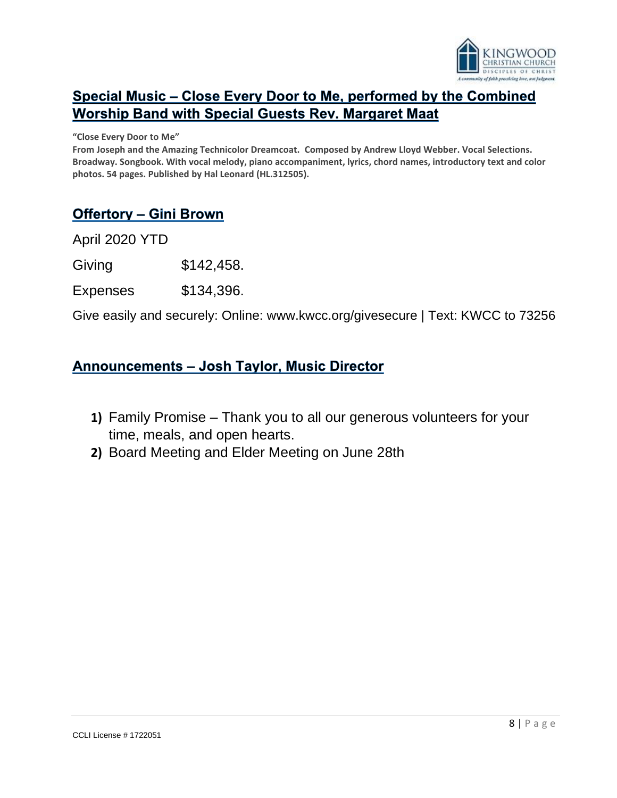

# Special Music - Close Every Door to Me, performed by the Combined **Worship Band with Special Guests Rev. Margaret Maat**

**"Close Every Door to Me"**

**From Joseph and the Amazing Technicolor Dreamcoat. Composed by Andrew Lloyd Webber. Vocal Selections. Broadway. Songbook. With vocal melody, piano accompaniment, lyrics, chord names, introductory text and color photos. 54 pages. Published by Hal Leonard (HL.312505).** 

#### Offertory - Gini Brown

April 2020 YTD

Giving \$142,458.

Expenses \$134,396.

Give easily and securely: Online: www.kwcc.org/givesecure | Text: KWCC to 73256

#### **Announcements - Josh Taylor, Music Director**

- **1)** Family Promise Thank you to all our generous volunteers for your time, meals, and open hearts.
- **2)** Board Meeting and Elder Meeting on June 28th